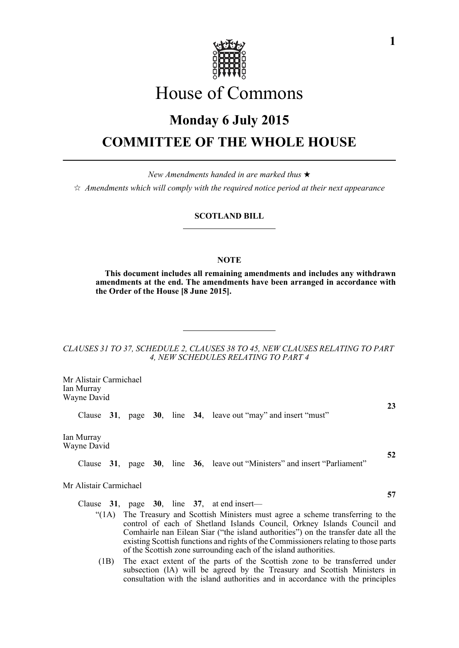

# House of Commons

# **Monday 6 July 2015 COMMITTEE OF THE WHOLE HOUSE**

*New Amendments handed in are marked thus*   $\dot{\varphi}$  Amendments which will comply with the required notice period at their next appearance

#### **SCOTLAND BILL**

# **NOTE**

**This document includes all remaining amendments and includes any withdrawn amendments at the end. The amendments have been arranged in accordance with the Order of the House [8 June 2015].**

*CLAUSES 31 TO 37, SCHEDULE 2, CLAUSES 38 TO 45, NEW CLAUSES RELATING TO PART 4, NEW SCHEDULES RELATING TO PART 4*

Mr Alistair Carmichael Ian Murray Wayne David

Clause **31**, page **30**, line **34**, leave out "may" and insert "must"

Ian Murray Wayne David

Clause **31**, page **30**, line **36**, leave out "Ministers" and insert "Parliament"

Mr Alistair Carmichael

Clause **31**, page **30**, line **37**, at end insert—

- "(1A) The Treasury and Scottish Ministers must agree a scheme transferring to the control of each of Shetland Islands Council, Orkney Islands Council and Comhairle nan Eilean Siar ("the island authorities") on the transfer date all the existing Scottish functions and rights of the Commissioners relating to those parts of the Scottish zone surrounding each of the island authorities.
- (1B) The exact extent of the parts of the Scottish zone to be transferred under subsection (lA) will be agreed by the Treasury and Scottish Ministers in consultation with the island authorities and in accordance with the principles

**23**

**52**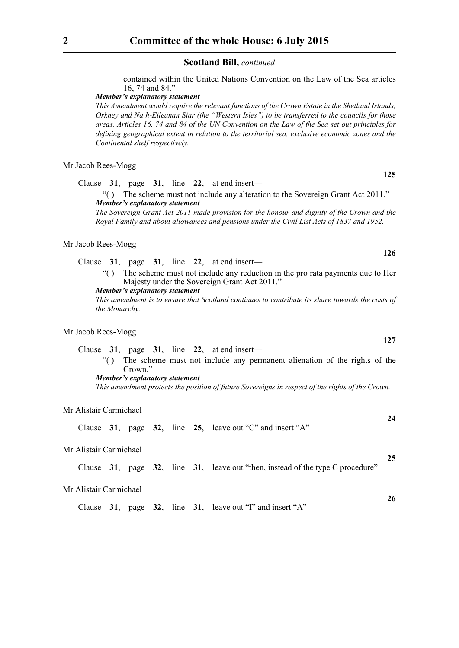contained within the United Nations Convention on the Law of the Sea articles 16, 74 and 84."

# *Member's explanatory statement*

*This Amendment would require the relevant functions of the Crown Estate in the Shetland Islands, Orkney and Na h-Eileanan Siar (the "Western Isles") to be transferred to the councils for those areas. Articles 16, 74 and 84 of the UN Convention on the Law of the Sea set out principles for defining geographical extent in relation to the territorial sea, exclusive economic zones and the Continental shelf respectively.*

#### Mr Jacob Rees-Mogg

Clause **31**, page **31**, line **22**, at end insert—

"( ) The scheme must not include any alteration to the Sovereign Grant Act 2011." *Member's explanatory statement* 

*The Sovereign Grant Act 2011 made provision for the honour and dignity of the Crown and the Royal Family and about allowances and pensions under the Civil List Acts of 1837 and 1952.*

# Mr Jacob Rees-Mogg

Clause **31**, page **31**, line **22**, at end insert—

"( ) The scheme must not include any reduction in the pro rata payments due to Her Majesty under the Sovereign Grant Act 2011."

*Member's explanatory statement* 

*This amendment is to ensure that Scotland continues to contribute its share towards the costs of the Monarchy.*

#### Mr Jacob Rees-Mogg

Clause **31**, page **31**, line **22**, at end insert— "( ) The scheme must not include any permanent alienation of the rights of the Crown." *Member's explanatory statement* 

*This amendment protects the position of future Sovereigns in respect of the rights of the Crown.*

#### Mr Alistair Carmichael

Clause **31**, page **32**, line **25**, leave out "C" and insert "A"

# Mr Alistair Carmichael

Clause **31**, page **32**, line **31**, leave out "then, instead of the type C procedure"

#### Mr Alistair Carmichael

Clause **31**, page **32**, line **31**, leave out "I" and insert "A"

**126**

**125**

**24**

**25**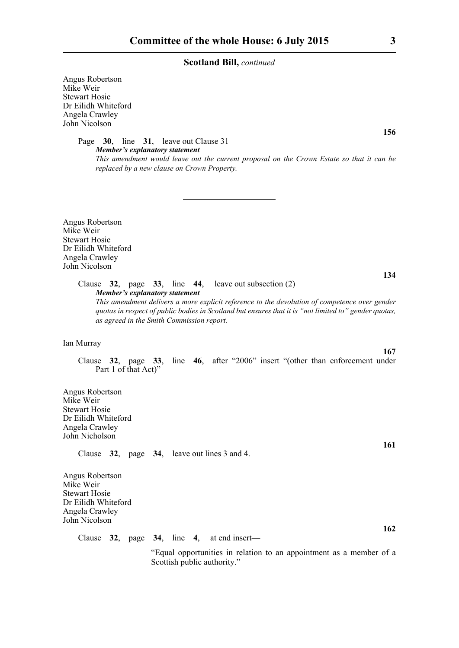Angus Robertson Mike Weir Stewart Hosie Dr Eilidh Whiteford Angela Crawley John Nicolson

> Page **30**, line **31**, leave out Clause 31 *Member's explanatory statement This amendment would leave out the current proposal on the Crown Estate so that it can be replaced by a new clause on Crown Property.*

Angus Robertson Mike Weir Stewart Hosie Dr Eilidh Whiteford Angela Crawley John Nicolson

> Clause **32**, page **33**, line **44**, leave out subsection (2) *Member's explanatory statement This amendment delivers a more explicit reference to the devolution of competence over gender quotas in respect of public bodies in Scotland but ensures that it is "not limited to" gender quotas,*

Ian Murray

Clause **32**, page **33**, line **46**, after "2006" insert "(other than enforcement under Part 1 of that Act)"

Angus Robertson Mike Weir Stewart Hosie Dr Eilidh Whiteford Angela Crawley John Nicholson

Clause **32**, page **34**, leave out lines 3 and 4.

*as agreed in the Smith Commission report.*

Angus Robertson Mike Weir Stewart Hosie Dr Eilidh Whiteford Angela Crawley John Nicolson

Clause **32**, page **34**, line **4**, at end insert—

 "Equal opportunities in relation to an appointment as a member of a Scottish public authority."

**156**

**134**

**167**

**161**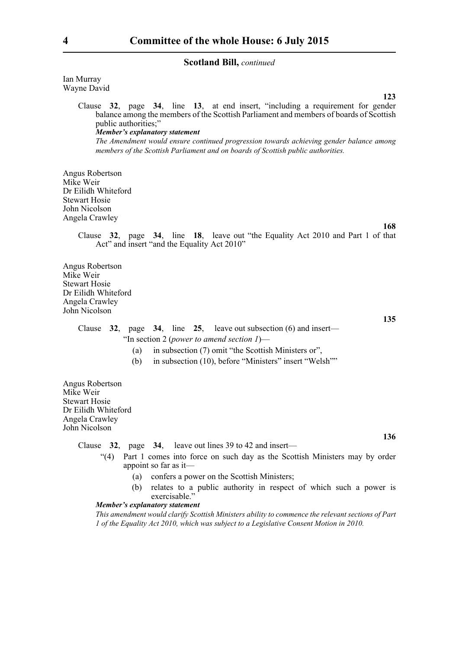Ian Murray Wayne David

> **123** Clause **32**, page **34**, line **13**, at end insert, "including a requirement for gender balance among the members of the Scottish Parliament and members of boards of Scottish public authorities;" *Member's explanatory statement The Amendment would ensure continued progression towards achieving gender balance among members of the Scottish Parliament and on boards of Scottish public authorities.*

Angus Robertson Mike Weir Dr Eilidh Whiteford Stewart Hosie John Nicolson Angela Crawley

**168**

Clause **32**, page **34**, line **18**, leave out "the Equality Act 2010 and Part 1 of that Act" and insert "and the Equality Act 2010"

Angus Robertson Mike Weir Stewart Hosie Dr Eilidh Whiteford Angela Crawley John Nicolson

**135**

**136**

Clause **32**, page **34**, line **25**, leave out subsection (6) and insert— "In section 2 (*power to amend section 1*)—

- (a) in subsection (7) omit "the Scottish Ministers or",
- (b) in subsection (10), before "Ministers" insert "Welsh""

Angus Robertson Mike Weir Stewart Hosie Dr Eilidh Whiteford Angela Crawley John Nicolson

Clause **32**, page **34**, leave out lines 39 to 42 and insert—

- "(4) Part 1 comes into force on such day as the Scottish Ministers may by order appoint so far as it—
	- (a) confers a power on the Scottish Ministers;
	- (b) relates to a public authority in respect of which such a power is exercisable."

#### *Member's explanatory statement*

*This amendment would clarify Scottish Ministers ability to commence the relevant sections of Part 1 of the Equality Act 2010, which was subject to a Legislative Consent Motion in 2010.*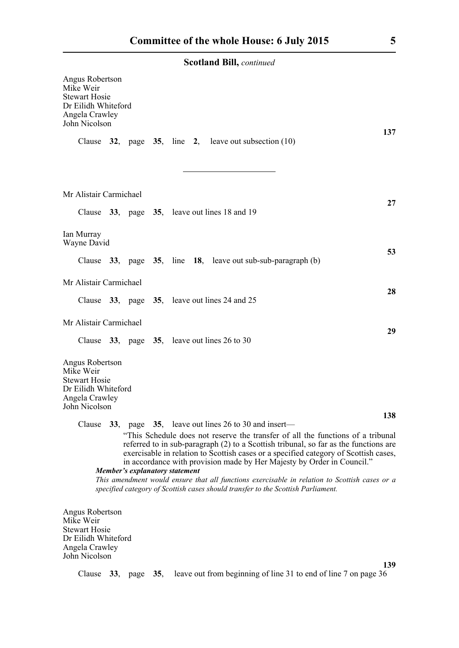| Angus Robertson<br>Mike Weir<br><b>Stewart Hosie</b><br>Dr Eilidh Whiteford<br>Angela Crawley<br>John Nicolson |     |                                                   |     |  |  |  |                                                                                  |                                                                                                                                                                                                                                                                                                                                           | 137 |
|----------------------------------------------------------------------------------------------------------------|-----|---------------------------------------------------|-----|--|--|--|----------------------------------------------------------------------------------|-------------------------------------------------------------------------------------------------------------------------------------------------------------------------------------------------------------------------------------------------------------------------------------------------------------------------------------------|-----|
| Clause 32, page 35, line 2, leave out subsection $(10)$                                                        |     |                                                   |     |  |  |  |                                                                                  |                                                                                                                                                                                                                                                                                                                                           |     |
| Mr Alistair Carmichael                                                                                         |     |                                                   |     |  |  |  |                                                                                  |                                                                                                                                                                                                                                                                                                                                           |     |
| Clause 33, page 35, leave out lines 18 and 19                                                                  |     |                                                   |     |  |  |  |                                                                                  |                                                                                                                                                                                                                                                                                                                                           | 27  |
| Ian Murray<br>Wayne David                                                                                      |     |                                                   |     |  |  |  |                                                                                  |                                                                                                                                                                                                                                                                                                                                           |     |
| Clause 33, page 35, line 18, leave out sub-sub-paragraph (b)                                                   |     |                                                   |     |  |  |  |                                                                                  |                                                                                                                                                                                                                                                                                                                                           | 53  |
| Mr Alistair Carmichael                                                                                         |     |                                                   |     |  |  |  |                                                                                  |                                                                                                                                                                                                                                                                                                                                           | 28  |
| Clause 33, page 35, leave out lines 24 and 25                                                                  |     |                                                   |     |  |  |  |                                                                                  |                                                                                                                                                                                                                                                                                                                                           |     |
| Mr Alistair Carmichael                                                                                         |     |                                                   |     |  |  |  |                                                                                  |                                                                                                                                                                                                                                                                                                                                           | 29  |
| Clause 33, page 35, leave out lines 26 to 30                                                                   |     |                                                   |     |  |  |  |                                                                                  |                                                                                                                                                                                                                                                                                                                                           |     |
| Angus Robertson<br>Mike Weir<br><b>Stewart Hosie</b><br>Dr Eilidh Whiteford<br>Angela Crawley<br>John Nicolson |     |                                                   |     |  |  |  |                                                                                  |                                                                                                                                                                                                                                                                                                                                           |     |
| Clause                                                                                                         |     | 33, page 35, leave out lines 26 to 30 and insert— |     |  |  |  |                                                                                  |                                                                                                                                                                                                                                                                                                                                           | 138 |
|                                                                                                                |     |                                                   |     |  |  |  |                                                                                  | "This Schedule does not reserve the transfer of all the functions of a tribunal<br>referred to in sub-paragraph (2) to a Scottish tribunal, so far as the functions are<br>exercisable in relation to Scottish cases or a specified category of Scottish cases,<br>in accordance with provision made by Her Majesty by Order in Council." |     |
|                                                                                                                |     | Member's explanatory statement                    |     |  |  |  | specified category of Scottish cases should transfer to the Scottish Parliament. | This amendment would ensure that all functions exercisable in relation to Scottish cases or a                                                                                                                                                                                                                                             |     |
| Angus Robertson<br>Mike Weir<br><b>Stewart Hosie</b><br>Dr Eilidh Whiteford<br>Angela Crawley<br>John Nicolson |     |                                                   |     |  |  |  |                                                                                  |                                                                                                                                                                                                                                                                                                                                           |     |
| Clause                                                                                                         | 33, | page                                              | 35, |  |  |  |                                                                                  | leave out from beginning of line 31 to end of line 7 on page 36                                                                                                                                                                                                                                                                           | 139 |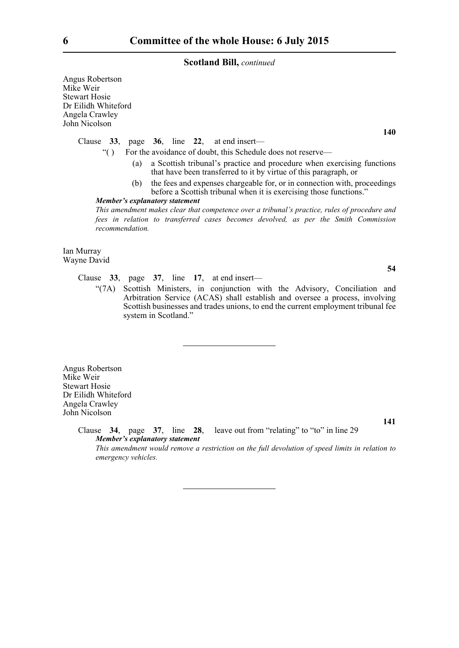Angus Robertson Mike Weir Stewart Hosie Dr Eilidh Whiteford Angela Crawley John Nicolson

Clause **33**, page **36**, line **22**, at end insert—

- "( ) For the avoidance of doubt, this Schedule does not reserve—
	- (a) a Scottish tribunal's practice and procedure when exercising functions that have been transferred to it by virtue of this paragraph, or
	- (b) the fees and expenses chargeable for, or in connection with, proceedings before a Scottish tribunal when it is exercising those functions."

#### *Member's explanatory statement*

*This amendment makes clear that competence over a tribunal's practice, rules of procedure and fees in relation to transferred cases becomes devolved, as per the Smith Commission recommendation.*

Ian Murray Wayne David

Clause **33**, page **37**, line **17**, at end insert—

"(7A) Scottish Ministers, in conjunction with the Advisory, Conciliation and Arbitration Service (ACAS) shall establish and oversee a process, involving Scottish businesses and trades unions, to end the current employment tribunal fee system in Scotland."

Angus Robertson Mike Weir Stewart Hosie Dr Eilidh Whiteford Angela Crawley John Nicolson

> Clause **34**, page **37**, line **28**, leave out from "relating" to "to" in line 29 *Member's explanatory statement*

*This amendment would remove a restriction on the full devolution of speed limits in relation to emergency vehicles.*

**140**

**54**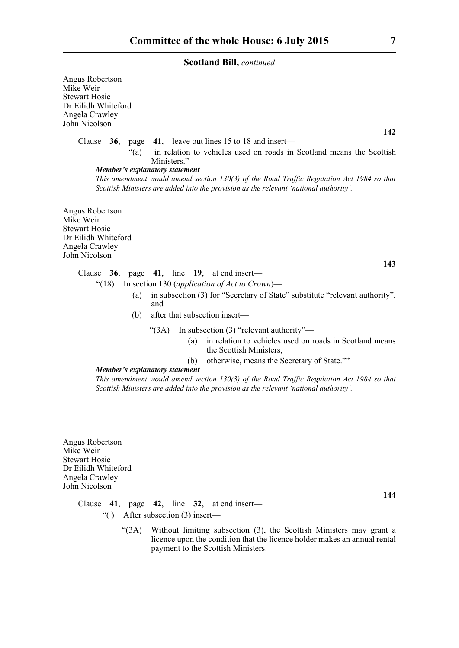Angus Robertson Mike Weir Stewart Hosie Dr Eilidh Whiteford Angela Crawley John Nicolson

Clause **36**, page **41**, leave out lines 15 to 18 and insert—

"(a) in relation to vehicles used on roads in Scotland means the Scottish Ministers."

# *Member's explanatory statement*

*This amendment would amend section 130(3) of the Road Traffic Regulation Act 1984 so that Scottish Ministers are added into the provision as the relevant 'national authority'.* 

Angus Robertson Mike Weir Stewart Hosie Dr Eilidh Whiteford Angela Crawley John Nicolson

**143**

# Clause **36**, page **41**, line **19**, at end insert—

- "(18) In section 130 (*application of Act to Crown*)—
	- (a) in subsection (3) for "Secretary of State" substitute "relevant authority", and
	- (b) after that subsection insert—
		- "(3A) In subsection (3) "relevant authority"—
			- (a) in relation to vehicles used on roads in Scotland means the Scottish Ministers,
			- (b) otherwise, means the Secretary of State.""

#### *Member's explanatory statement*

*This amendment would amend section 130(3) of the Road Traffic Regulation Act 1984 so that Scottish Ministers are added into the provision as the relevant 'national authority'.* 

Angus Robertson Mike Weir Stewart Hosie Dr Eilidh Whiteford Angela Crawley John Nicolson

**144**

Clause **41**, page **42**, line **32**, at end insert—

- "( ) After subsection (3) insert—
	- "(3A) Without limiting subsection (3), the Scottish Ministers may grant a licence upon the condition that the licence holder makes an annual rental payment to the Scottish Ministers.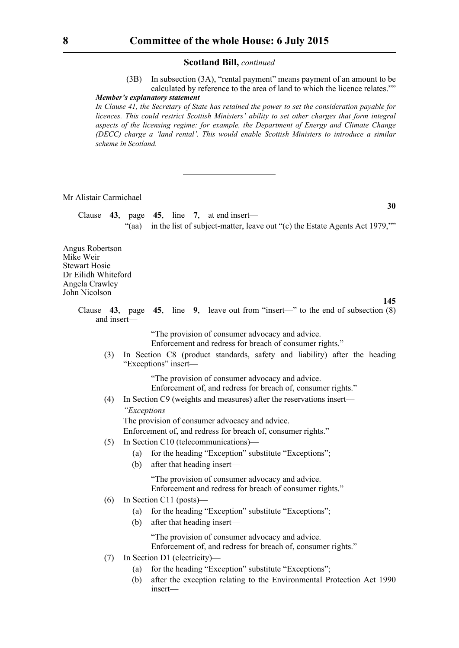(3B) In subsection (3A), "rental payment" means payment of an amount to be calculated by reference to the area of land to which the licence relates.""

**30**

**145**

# *Member's explanatory statement*

*In Clause 41, the Secretary of State has retained the power to set the consideration payable for licences. This could restrict Scottish Ministers' ability to set other charges that form integral aspects of the licensing regime: for example, the Department of Energy and Climate Change (DECC) charge a 'land rental'. This would enable Scottish Ministers to introduce a similar scheme in Scotland.*

# Mr Alistair Carmichael

Clause **43**, page **45**, line **7**, at end insert— "(aa) in the list of subject-matter, leave out "(c) the Estate Agents Act 1979,""

Angus Robertson Mike Weir Stewart Hosie Dr Eilidh Whiteford Angela Crawley John Nicolson

> Clause **43**, page **45**, line **9**, leave out from "insert—" to the end of subsection (8) and insert—

> > "The provision of consumer advocacy and advice. Enforcement and redress for breach of consumer rights."

(3) In Section C8 (product standards, safety and liability) after the heading "Exceptions" insert—

> "The provision of consumer advocacy and advice. Enforcement of, and redress for breach of, consumer rights."

(4) In Section C9 (weights and measures) after the reservations insert—  *"Exceptions*

The provision of consumer advocacy and advice.

Enforcement of, and redress for breach of, consumer rights."

- (5) In Section C10 (telecommunications)—
	- (a) for the heading "Exception" substitute "Exceptions";
	- (b) after that heading insert—

 "The provision of consumer advocacy and advice. Enforcement and redress for breach of consumer rights."

- (6) In Section C11 (posts)—
	- (a) for the heading "Exception" substitute "Exceptions";
	- (b) after that heading insert—

 "The provision of consumer advocacy and advice. Enforcement of, and redress for breach of, consumer rights."

- (7) In Section D1 (electricity)—
	- (a) for the heading "Exception" substitute "Exceptions";
	- (b) after the exception relating to the Environmental Protection Act 1990 insert—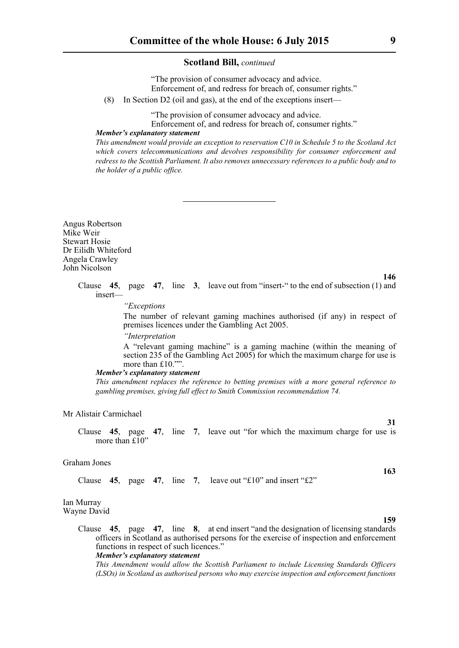"The provision of consumer advocacy and advice. Enforcement of, and redress for breach of, consumer rights."

(8) In Section D2 (oil and gas), at the end of the exceptions insert—

"The provision of consumer advocacy and advice.

Enforcement of, and redress for breach of, consumer rights."

*Member's explanatory statement* 

*This amendment would provide an exception to reservation C10 in Schedule 5 to the Scotland Act which covers telecommunications and devolves responsibility for consumer enforcement and redress to the Scottish Parliament. It also removes unnecessary references to a public body and to the holder of a public office.*

Angus Robertson Mike Weir Stewart Hosie Dr Eilidh Whiteford Angela Crawley John Nicolson

> Clause **45**, page **47**, line **3**, leave out from "insert-" to the end of subsection (1) and insert—

> > *"Exceptions*

The number of relevant gaming machines authorised (if any) in respect of premises licences under the Gambling Act 2005.

 *"Interpretation*

A "relevant gaming machine" is a gaming machine (within the meaning of section 235 of the Gambling Act 2005) for which the maximum charge for use is more than £10.""

#### *Member's explanatory statement*

*This amendment replaces the reference to betting premises with a more general reference to gambling premises, giving full effect to Smith Commission recommendation 74.*

#### Mr Alistair Carmichael

Clause **45**, page **47**, line **7**, leave out "for which the maximum charge for use is more than £10"

#### Graham Jones

Clause  $45$ , page  $47$ , line  $7$ , leave out "£10" and insert "£2"

#### Ian Murray Wayne David

Clause **45**, page **47**, line **8**, at end insert "and the designation of licensing standards officers in Scotland as authorised persons for the exercise of inspection and enforcement functions in respect of such licences."

#### *Member's explanatory statement*

*This Amendment would allow the Scottish Parliament to include Licensing Standards Officers (LSOs) in Scotland as authorised persons who may exercise inspection and enforcement functions*

**159**

**163**

**31**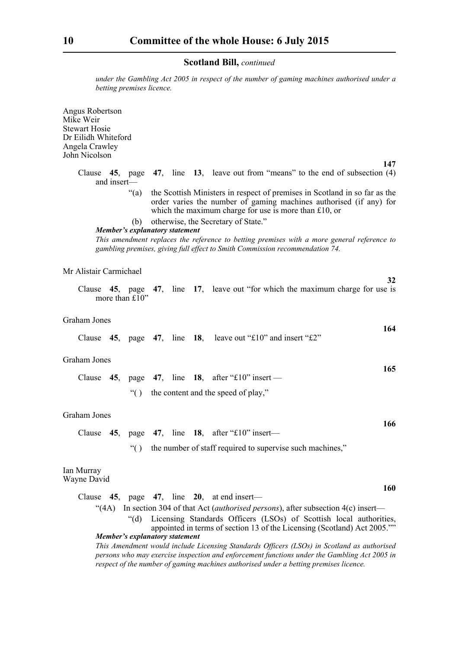*under the Gambling Act 2005 in respect of the number of gaming machines authorised under a betting premises licence.*

Angus Robertson Mike Weir Stewart Hosie Dr Eilidh Whiteford Angela Crawley John Nicolson

**147**

**32**

**164**

**165**

**166**

**160**

- Clause **45**, page **47**, line **13**, leave out from "means" to the end of subsection (4) and insert—
	- "(a) the Scottish Ministers in respect of premises in Scotland in so far as the order varies the number of gaming machines authorised (if any) for which the maximum charge for use is more than £10, or
	- (b) otherwise, the Secretary of State."

#### *Member's explanatory statement*

*This amendment replaces the reference to betting premises with a more general reference to gambling premises, giving full effect to Smith Commission recommendation 74.*

## Mr Alistair Carmichael

Clause **45**, page **47**, line **17**, leave out "for which the maximum charge for use is more than £10"

#### Graham Jones

Clause **45**, page **47**, line **18**, leave out "£10" and insert "£2"

#### Graham Jones

|  |  |  |                                         | Clause 45, page 47, line 18, after "£10" insert — |  |  |  |
|--|--|--|-----------------------------------------|---------------------------------------------------|--|--|--|
|  |  |  | "() the content and the speed of play," |                                                   |  |  |  |

#### Graham Jones

|  | Clause 45, page 47, line 18, after "£10" insert— |  |  |  |  |  |  |
|--|--------------------------------------------------|--|--|--|--|--|--|
|--|--------------------------------------------------|--|--|--|--|--|--|

"( ) the number of staff required to supervise such machines,"

#### Ian Murray Wayne David

| Clause 45, page 47, line 20, at end insert—                                                    |  |  |  |  |                                                                          |  |  |  |
|------------------------------------------------------------------------------------------------|--|--|--|--|--------------------------------------------------------------------------|--|--|--|
| "(4A) In section 304 of that Act <i>(authorised persons)</i> , after subsection $4(c)$ insert— |  |  |  |  |                                                                          |  |  |  |
|                                                                                                |  |  |  |  | "(d) Licensing Standards Officers (LSOs) of Scottish local authorities,  |  |  |  |
|                                                                                                |  |  |  |  | appointed in terms of section 13 of the Licensing (Scotland) Act 2005."" |  |  |  |
| Member's explanatory statement                                                                 |  |  |  |  |                                                                          |  |  |  |
|                                                                                                |  |  |  |  |                                                                          |  |  |  |

*This Amendment would include Licensing Standards Officers (LSOs) in Scotland as authorised persons who may exercise inspection and enforcement functions under the Gambling Act 2005 in respect of the number of gaming machines authorised under a betting premises licence.*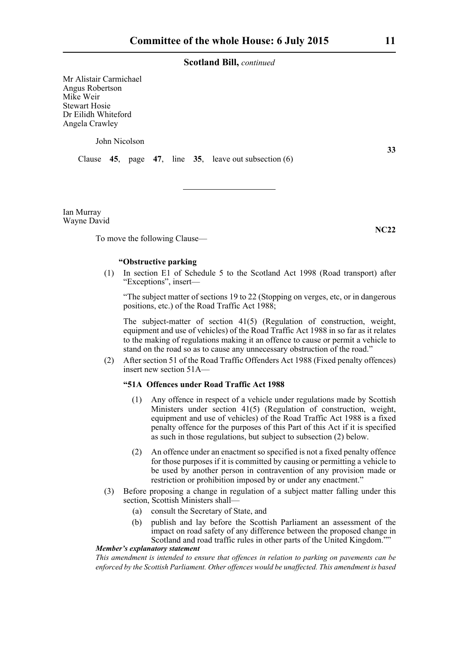Mr Alistair Carmichael Angus Robertson Mike Weir Stewart Hosie Dr Eilidh Whiteford Angela Crawley

John Nicolson

Clause **45**, page **47**, line **35**, leave out subsection (6)

Ian Murray Wayne David

To move the following Clause—

#### **"Obstructive parking**

(1) In section E1 of Schedule 5 to the Scotland Act 1998 (Road transport) after "Exceptions", insert—

"The subject matter of sections 19 to 22 (Stopping on verges, etc, or in dangerous positions, etc.) of the Road Traffic Act 1988;

The subject-matter of section 41(5) (Regulation of construction, weight, equipment and use of vehicles) of the Road Traffic Act 1988 in so far as it relates to the making of regulations making it an offence to cause or permit a vehicle to stand on the road so as to cause any unnecessary obstruction of the road."

(2) After section 51 of the Road Traffic Offenders Act 1988 (Fixed penalty offences) insert new section 51A—

# **"51A Offences under Road Traffic Act 1988**

- (1) Any offence in respect of a vehicle under regulations made by Scottish Ministers under section 41(5) (Regulation of construction, weight, equipment and use of vehicles) of the Road Traffic Act 1988 is a fixed penalty offence for the purposes of this Part of this Act if it is specified as such in those regulations, but subject to subsection (2) below.
- (2) An offence under an enactment so specified is not a fixed penalty offence for those purposes if it is committed by causing or permitting a vehicle to be used by another person in contravention of any provision made or restriction or prohibition imposed by or under any enactment."
- (3) Before proposing a change in regulation of a subject matter falling under this section, Scottish Ministers shall—
	- (a) consult the Secretary of State, and
	- (b) publish and lay before the Scottish Parliament an assessment of the impact on road safety of any difference between the proposed change in Scotland and road traffic rules in other parts of the United Kingdom.""

# *Member's explanatory statement*

*This amendment is intended to ensure that offences in relation to parking on pavements can be enforced by the Scottish Parliament. Other offences would be unaffected. This amendment is based*

**33**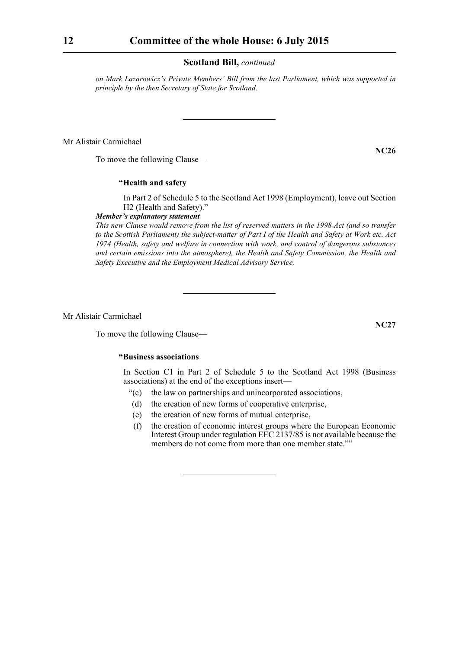*on Mark Lazarowicz's Private Members' Bill from the last Parliament, which was supported in principle by the then Secretary of State for Scotland.*

Mr Alistair Carmichael

To move the following Clause—

# **"Health and safety**

In Part 2 of Schedule 5 to the Scotland Act 1998 (Employment), leave out Section H2 (Health and Safety)."

# *Member's explanatory statement*

*This new Clause would remove from the list of reserved matters in the 1998 Act (and so transfer to the Scottish Parliament) the subject-matter of Part I of the Health and Safety at Work etc. Act 1974 (Health, safety and welfare in connection with work, and control of dangerous substances and certain emissions into the atmosphere), the Health and Safety Commission, the Health and Safety Executive and the Employment Medical Advisory Service.*

Mr Alistair Carmichael

To move the following Clause—

# **"Business associations**

In Section C1 in Part 2 of Schedule 5 to the Scotland Act 1998 (Business associations) at the end of the exceptions insert—

- "(c) the law on partnerships and unincorporated associations,
- (d) the creation of new forms of cooperative enterprise,
- (e) the creation of new forms of mutual enterprise,
- (f) the creation of economic interest groups where the European Economic Interest Group under regulation  $E\bar{E}C$  2137/85 is not available because the members do not come from more than one member state.""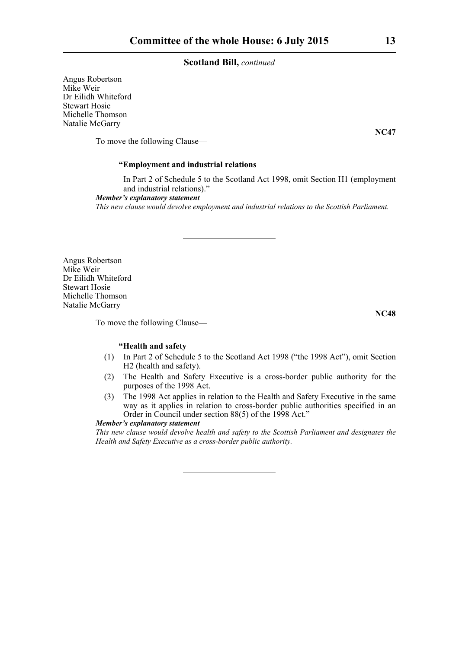Angus Robertson Mike Weir Dr Eilidh Whiteford Stewart Hosie Michelle Thomson Natalie McGarry

To move the following Clause—

# **"Employment and industrial relations**

In Part 2 of Schedule 5 to the Scotland Act 1998, omit Section H1 (employment and industrial relations)."

*Member's explanatory statement* 

*This new clause would devolve employment and industrial relations to the Scottish Parliament.*

Angus Robertson Mike Weir Dr Eilidh Whiteford Stewart Hosie Michelle Thomson Natalie McGarry

To move the following Clause—

# **"Health and safety**

- (1) In Part 2 of Schedule 5 to the Scotland Act 1998 ("the 1998 Act"), omit Section H2 (health and safety).
- (2) The Health and Safety Executive is a cross-border public authority for the purposes of the 1998 Act.
- (3) The 1998 Act applies in relation to the Health and Safety Executive in the same way as it applies in relation to cross-border public authorities specified in an Order in Council under section 88(5) of the 1998 Act."

#### *Member's explanatory statement*

*This new clause would devolve health and safety to the Scottish Parliament and designates the Health and Safety Executive as a cross-border public authority.*

**NC47**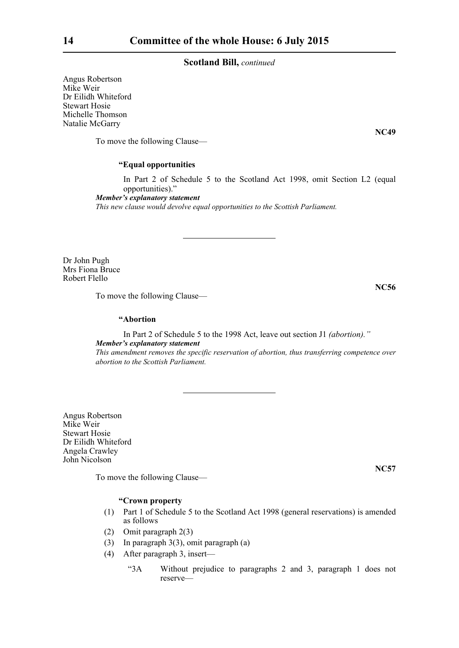Angus Robertson Mike Weir Dr Eilidh Whiteford Stewart Hosie Michelle Thomson Natalie McGarry

To move the following Clause—

# **"Equal opportunities**

In Part 2 of Schedule 5 to the Scotland Act 1998, omit Section L2 (equal opportunities)."

*Member's explanatory statement* 

*This new clause would devolve equal opportunities to the Scottish Parliament.*

Dr John Pugh Mrs Fiona Bruce Robert Flello

To move the following Clause—

# **"Abortion**

In Part 2 of Schedule 5 to the 1998 Act, leave out section J1 *(abortion)." Member's explanatory statement This amendment removes the specific reservation of abortion, thus transferring competence over abortion to the Scottish Parliament.*

Angus Robertson Mike Weir Stewart Hosie Dr Eilidh Whiteford Angela Crawley John Nicolson

To move the following Clause—

#### **"Crown property**

- (1) Part 1 of Schedule 5 to the Scotland Act 1998 (general reservations) is amended as follows
- (2) Omit paragraph 2(3)
- (3) In paragraph 3(3), omit paragraph (a)
- (4) After paragraph 3, insert—
	- "3A Without prejudice to paragraphs 2 and 3, paragraph 1 does not reserve—

**NC49**

**NC56**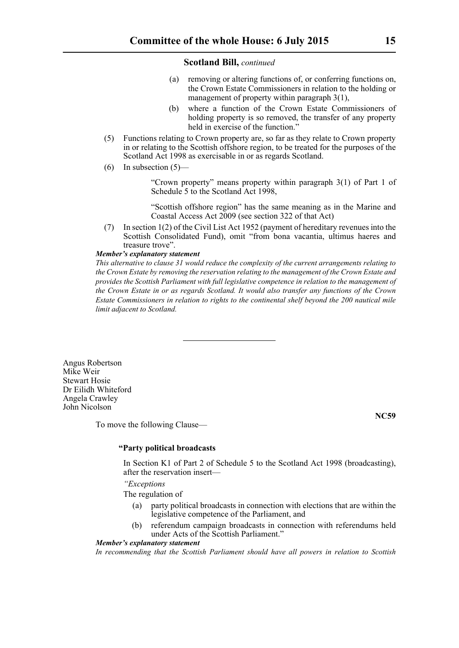- (a) removing or altering functions of, or conferring functions on, the Crown Estate Commissioners in relation to the holding or management of property within paragraph 3(1),
- (b) where a function of the Crown Estate Commissioners of holding property is so removed, the transfer of any property held in exercise of the function."
- (5) Functions relating to Crown property are, so far as they relate to Crown property in or relating to the Scottish offshore region, to be treated for the purposes of the Scotland Act 1998 as exercisable in or as regards Scotland.
- $(6)$  In subsection  $(5)$ —

 "Crown property" means property within paragraph 3(1) of Part 1 of Schedule 5 to the Scotland Act 1998,

 "Scottish offshore region" has the same meaning as in the Marine and Coastal Access Act 2009 (see section 322 of that Act)

(7) In section 1(2) of the Civil List Act 1952 (payment of hereditary revenues into the Scottish Consolidated Fund), omit "from bona vacantia, ultimus haeres and treasure trove".

# *Member's explanatory statement*

*This alternative to clause 31 would reduce the complexity of the current arrangements relating to the Crown Estate by removing the reservation relating to the management of the Crown Estate and provides the Scottish Parliament with full legislative competence in relation to the management of the Crown Estate in or as regards Scotland. It would also transfer any functions of the Crown Estate Commissioners in relation to rights to the continental shelf beyond the 200 nautical mile limit adjacent to Scotland.*

Angus Robertson Mike Weir Stewart Hosie Dr Eilidh Whiteford Angela Crawley John Nicolson

To move the following Clause—

**NC59**

# **"Party political broadcasts**

In Section K1 of Part 2 of Schedule 5 to the Scotland Act 1998 (broadcasting), after the reservation insert—

 *"Exceptions*

The regulation of

- party political broadcasts in connection with elections that are within the legislative competence of the Parliament, and
- (b) referendum campaign broadcasts in connection with referendums held under Acts of the Scottish Parliament."

#### *Member's explanatory statement*

*In recommending that the Scottish Parliament should have all powers in relation to Scottish*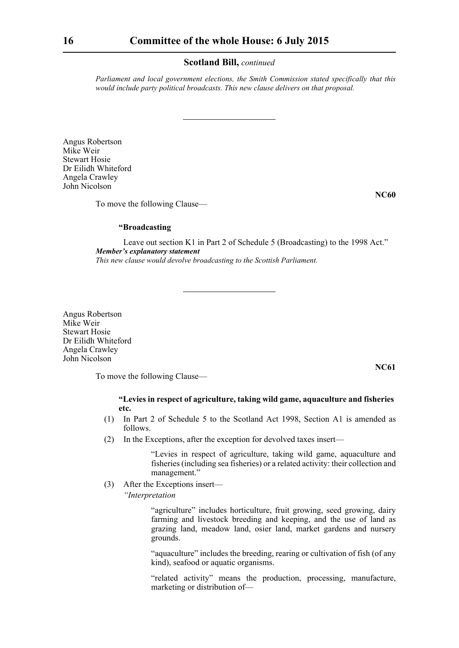*Parliament and local government elections, the Smith Commission stated specifically that this would include party political broadcasts. This new clause delivers on that proposal.* 

Angus Robertson Mike Weir Stewart Hosie Dr Eilidh Whiteford Angela Crawley John Nicolson

**NC60**

**NC61**

To move the following Clause—

#### **"Broadcasting**

Leave out section K1 in Part 2 of Schedule 5 (Broadcasting) to the 1998 Act." *Member's explanatory statement This new clause would devolve broadcasting to the Scottish Parliament.*

Angus Robertson Mike Weir Stewart Hosie Dr Eilidh Whiteford Angela Crawley John Nicolson

To move the following Clause—

#### **"Levies in respect of agriculture, taking wild game, aquaculture and fisheries etc.**

- (1) In Part 2 of Schedule 5 to the Scotland Act 1998, Section A1 is amended as follows.
- (2) In the Exceptions, after the exception for devolved taxes insert—

 "Levies in respect of agriculture, taking wild game, aquaculture and fisheries (including sea fisheries) or a related activity: their collection and management."

(3) After the Exceptions insert—

 *"Interpretation*

 "agriculture" includes horticulture, fruit growing, seed growing, dairy farming and livestock breeding and keeping, and the use of land as grazing land, meadow land, osier land, market gardens and nursery grounds.

 "aquaculture" includes the breeding, rearing or cultivation of fish (of any kind), seafood or aquatic organisms.

 "related activity" means the production, processing, manufacture, marketing or distribution of—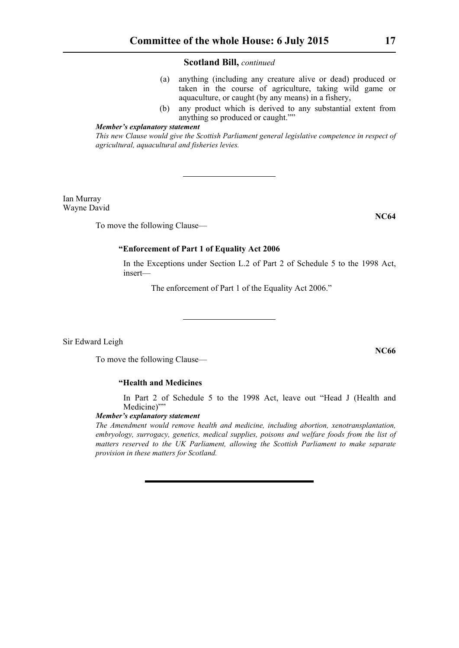- (a) anything (including any creature alive or dead) produced or taken in the course of agriculture, taking wild game or aquaculture, or caught (by any means) in a fishery,
- (b) any product which is derived to any substantial extent from anything so produced or caught.""

# *Member's explanatory statement*

*This new Clause would give the Scottish Parliament general legislative competence in respect of agricultural, aquacultural and fisheries levies.*

Ian Murray Wayne David

To move the following Clause—

# **"Enforcement of Part 1 of Equality Act 2006**

In the Exceptions under Section L.2 of Part 2 of Schedule 5 to the 1998 Act, insert—

The enforcement of Part 1 of the Equality Act 2006."

Sir Edward Leigh

To move the following Clause—

# **"Health and Medicines**

In Part 2 of Schedule 5 to the 1998 Act, leave out "Head J (Health and Medicine)""

# *Member's explanatory statement*

*The Amendment would remove health and medicine, including abortion, xenotransplantation, embryology, surrogacy, genetics, medical supplies, poisons and welfare foods from the list of matters reserved to the UK Parliament, allowing the Scottish Parliament to make separate provision in these matters for Scotland.*

**NC66**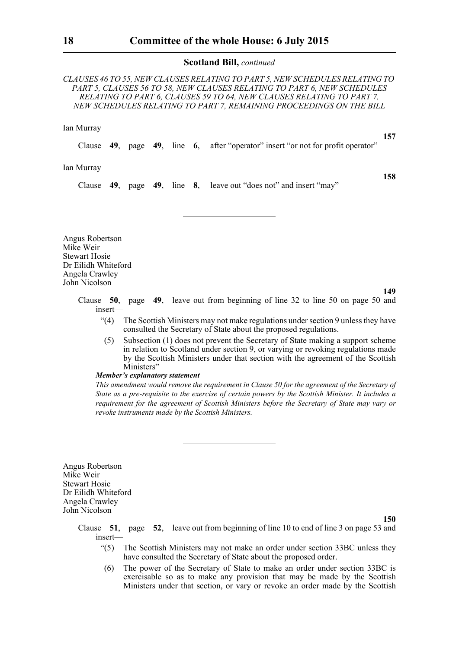*CLAUSES 46 TO 55, NEW CLAUSES RELATING TO PART 5, NEW SCHEDULES RELATING TO PART 5, CLAUSES 56 TO 58, NEW CLAUSES RELATING TO PART 6, NEW SCHEDULES RELATING TO PART 6, CLAUSES 59 TO 64, NEW CLAUSES RELATING TO PART 7, NEW SCHEDULES RELATING TO PART 7, REMAINING PROCEEDINGS ON THE BILL*

#### Ian Murray

Clause **49**, page **49**, line **6**, after "operator" insert "or not for profit operator"

Ian Murray

Clause **49**, page **49**, line **8**, leave out "does not" and insert "may"

Angus Robertson Mike Weir Stewart Hosie Dr Eilidh Whiteford Angela Crawley John Nicolson

**149**

**150**

**157**

**158**

Clause **50**, page **49**, leave out from beginning of line 32 to line 50 on page 50 and insert—

- "(4) The Scottish Ministers may not make regulations under section 9 unless they have consulted the Secretary of State about the proposed regulations.
- (5) Subsection (1) does not prevent the Secretary of State making a support scheme in relation to Scotland under section 9, or varying or revoking regulations made by the Scottish Ministers under that section with the agreement of the Scottish Ministers"

#### *Member's explanatory statement*

*This amendment would remove the requirement in Clause 50 for the agreement of the Secretary of State as a pre-requisite to the exercise of certain powers by the Scottish Minister. It includes a requirement for the agreement of Scottish Ministers before the Secretary of State may vary or revoke instruments made by the Scottish Ministers.*

Angus Robertson Mike Weir Stewart Hosie Dr Eilidh Whiteford Angela Crawley John Nicolson

> Clause **51**, page **52**, leave out from beginning of line 10 to end of line 3 on page 53 and insert—

- "(5) The Scottish Ministers may not make an order under section 33BC unless they have consulted the Secretary of State about the proposed order.
- (6) The power of the Secretary of State to make an order under section 33BC is exercisable so as to make any provision that may be made by the Scottish Ministers under that section, or vary or revoke an order made by the Scottish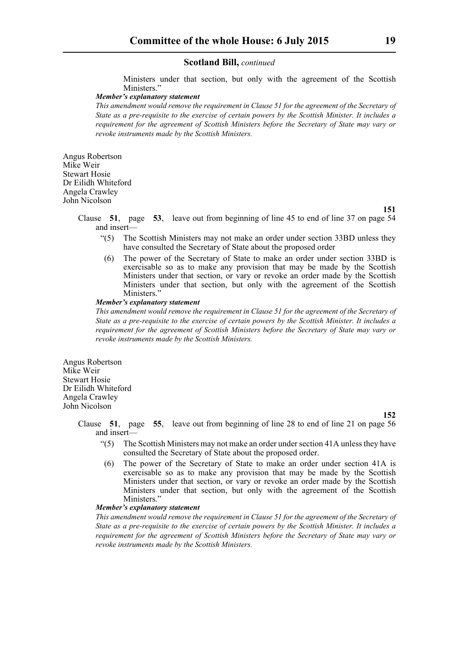Ministers under that section, but only with the agreement of the Scottish Ministers."

# *Member's explanatory statement*

*This amendment would remove the requirement in Clause 51 for the agreement of the Secretary of State as a pre-requisite to the exercise of certain powers by the Scottish Minister. It includes a requirement for the agreement of Scottish Ministers before the Secretary of State may vary or revoke instruments made by the Scottish Ministers.*

Angus Robertson Mike Weir Stewart Hosie Dr Eilidh Whiteford Angela Crawley John Nicolson

**151**

Clause **51**, page **53**, leave out from beginning of line 45 to end of line 37 on page 54 and insert—

- "(5) The Scottish Ministers may not make an order under section 33BD unless they have consulted the Secretary of State about the proposed order
- (6) The power of the Secretary of State to make an order under section 33BD is exercisable so as to make any provision that may be made by the Scottish Ministers under that section, or vary or revoke an order made by the Scottish Ministers under that section, but only with the agreement of the Scottish Ministers.'

#### *Member's explanatory statement*

*This amendment would remove the requirement in Clause 51 for the agreement of the Secretary of State as a pre-requisite to the exercise of certain powers by the Scottish Minister. It includes a requirement for the agreement of Scottish Ministers before the Secretary of State may vary or revoke instruments made by the Scottish Ministers.*

Angus Robertson Mike Weir Stewart Hosie Dr Eilidh Whiteford Angela Crawley John Nicolson

**152**

- Clause **51**, page **55**, leave out from beginning of line 28 to end of line 21 on page 56 and insert—
	- "(5) The Scottish Ministers may not make an order under section 41A unless they have consulted the Secretary of State about the proposed order.
	- (6) The power of the Secretary of State to make an order under section 41A is exercisable so as to make any provision that may be made by the Scottish Ministers under that section, or vary or revoke an order made by the Scottish Ministers under that section, but only with the agreement of the Scottish Ministers."

#### *Member's explanatory statement*

*This amendment would remove the requirement in Clause 51 for the agreement of the Secretary of State as a pre-requisite to the exercise of certain powers by the Scottish Minister. It includes a requirement for the agreement of Scottish Ministers before the Secretary of State may vary or revoke instruments made by the Scottish Ministers.*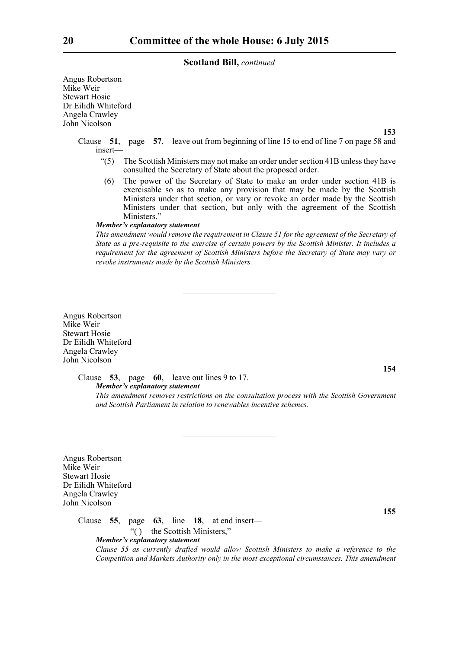Angus Robertson Mike Weir Stewart Hosie Dr Eilidh Whiteford Angela Crawley John Nicolson

**153**

Clause **51**, page **57**, leave out from beginning of line 15 to end of line 7 on page 58 and insert—

- "(5) The Scottish Ministers may not make an order under section 41B unless they have consulted the Secretary of State about the proposed order.
- (6) The power of the Secretary of State to make an order under section 41B is exercisable so as to make any provision that may be made by the Scottish Ministers under that section, or vary or revoke an order made by the Scottish Ministers under that section, but only with the agreement of the Scottish Ministers."

#### *Member's explanatory statement*

*This amendment would remove the requirement in Clause 51 for the agreement of the Secretary of State as a pre-requisite to the exercise of certain powers by the Scottish Minister. It includes a requirement for the agreement of Scottish Ministers before the Secretary of State may vary or revoke instruments made by the Scottish Ministers.*

Angus Robertson Mike Weir Stewart Hosie Dr Eilidh Whiteford Angela Crawley John Nicolson

> Clause **53**, page **60**, leave out lines 9 to 17. *Member's explanatory statement*

*This amendment removes restrictions on the consultation process with the Scottish Government and Scottish Parliament in relation to renewables incentive schemes.*

Angus Robertson Mike Weir Stewart Hosie Dr Eilidh Whiteford Angela Crawley John Nicolson

Clause **55**, page **63**, line **18**, at end insert—

"( ) the Scottish Ministers,"

*Member's explanatory statement* 

*Clause 55 as currently drafted would allow Scottish Ministers to make a reference to the Competition and Markets Authority only in the most exceptional circumstances. This amendment*

**154**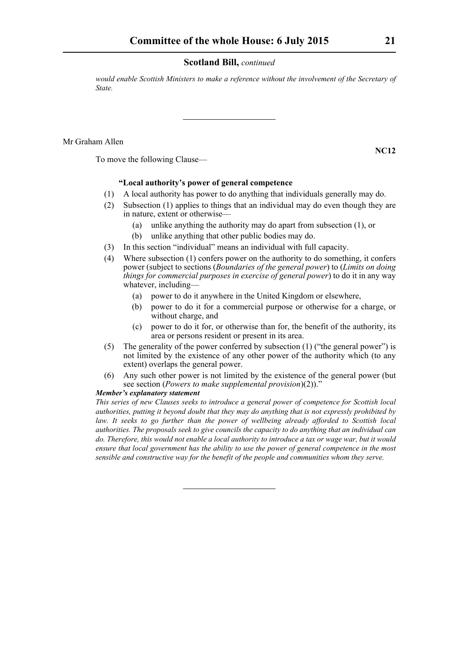*would enable Scottish Ministers to make a reference without the involvement of the Secretary of State.*

Mr Graham Allen

To move the following Clause—

#### **"Local authority's power of general competence**

- (1) A local authority has power to do anything that individuals generally may do.
- (2) Subsection (1) applies to things that an individual may do even though they are in nature, extent or otherwise—
	- (a) unlike anything the authority may do apart from subsection (1), or
	- (b) unlike anything that other public bodies may do.
- (3) In this section "individual" means an individual with full capacity.
- (4) Where subsection (1) confers power on the authority to do something, it confers power (subject to sections (*Boundaries of the general power*) to (*Limits on doing things for commercial purposes in exercise of general power*) to do it in any way whatever, including—
	- (a) power to do it anywhere in the United Kingdom or elsewhere,
	- (b) power to do it for a commercial purpose or otherwise for a charge, or without charge, and
	- (c) power to do it for, or otherwise than for, the benefit of the authority, its area or persons resident or present in its area.
- (5) The generality of the power conferred by subsection (1) ("the general power") is not limited by the existence of any other power of the authority which (to any extent) overlaps the general power.
- (6) Any such other power is not limited by the existence of the general power (but see section (*Powers to make supplemental provision*)(2))."

#### *Member's explanatory statement*

*This series of new Clauses seeks to introduce a general power of competence for Scottish local authorities, putting it beyond doubt that they may do anything that is not expressly prohibited by law. It seeks to go further than the power of wellbeing already afforded to Scottish local authorities. The proposals seek to give councils the capacity to do anything that an individual can do. Therefore, this would not enable a local authority to introduce a tax or wage war, but it would ensure that local government has the ability to use the power of general competence in the most sensible and constructive way for the benefit of the people and communities whom they serve.*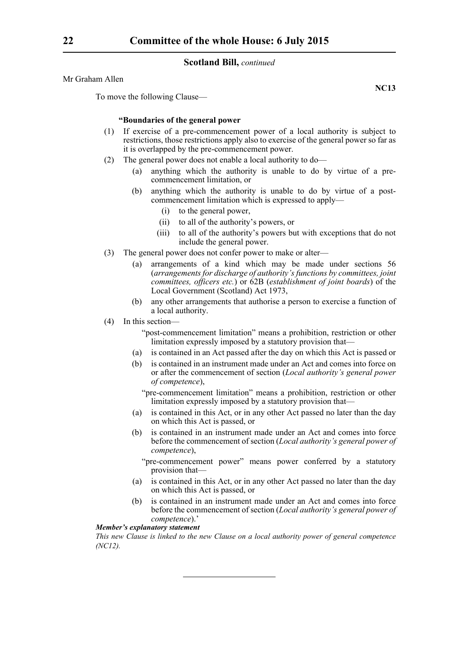Mr Graham Allen

To move the following Clause—

#### **"Boundaries of the general power**

- (1) If exercise of a pre-commencement power of a local authority is subject to restrictions, those restrictions apply also to exercise of the general power so far as it is overlapped by the pre-commencement power.
- (2) The general power does not enable a local authority to do—
	- (a) anything which the authority is unable to do by virtue of a precommencement limitation, or
	- (b) anything which the authority is unable to do by virtue of a postcommencement limitation which is expressed to apply—
		- (i) to the general power,
		- (ii) to all of the authority's powers, or
		- (iii) to all of the authority's powers but with exceptions that do not include the general power.
- (3) The general power does not confer power to make or alter—
	- (a) arrangements of a kind which may be made under sections 56 (*arrangements for discharge of authority's functions by committees, joint committees, officers etc.*) or 62B (*establishment of joint boards*) of the Local Government (Scotland) Act 1973,
	- (b) any other arrangements that authorise a person to exercise a function of a local authority.
- (4) In this section—
	- "post-commencement limitation" means a prohibition, restriction or other limitation expressly imposed by a statutory provision that—
	- (a) is contained in an Act passed after the day on which this Act is passed or
	- (b) is contained in an instrument made under an Act and comes into force on or after the commencement of section (*Local authority's general power of competence*),

"pre-commencement limitation" means a prohibition, restriction or other limitation expressly imposed by a statutory provision that—

- (a) is contained in this Act, or in any other Act passed no later than the day on which this Act is passed, or
- (b) is contained in an instrument made under an Act and comes into force before the commencement of section (*Local authority's general power of competence*),
	- "pre-commencement power" means power conferred by a statutory provision that—
- (a) is contained in this Act, or in any other Act passed no later than the day on which this Act is passed, or
- (b) is contained in an instrument made under an Act and comes into force before the commencement of section (*Local authority's general power of competence*).'

*Member's explanatory statement* 

*This new Clause is linked to the new Clause on a local authority power of general competence (NC12).*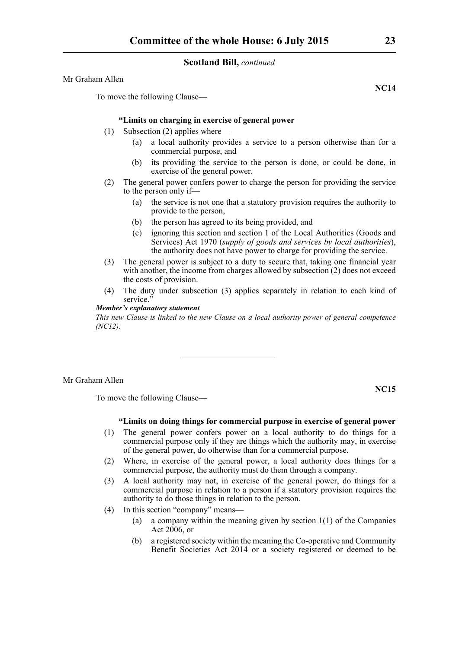Mr Graham Allen

To move the following Clause—

#### **"Limits on charging in exercise of general power**

- (1) Subsection (2) applies where—
	- (a) a local authority provides a service to a person otherwise than for a commercial purpose, and
	- (b) its providing the service to the person is done, or could be done, in exercise of the general power.
- (2) The general power confers power to charge the person for providing the service to the person only if—
	- (a) the service is not one that a statutory provision requires the authority to provide to the person,
	- (b) the person has agreed to its being provided, and
	- (c) ignoring this section and section 1 of the Local Authorities (Goods and Services) Act 1970 (*supply of goods and services by local authorities*), the authority does not have power to charge for providing the service.
- (3) The general power is subject to a duty to secure that, taking one financial year with another, the income from charges allowed by subsection (2) does not exceed the costs of provision.
- (4) The duty under subsection (3) applies separately in relation to each kind of service."

# *Member's explanatory statement*

*This new Clause is linked to the new Clause on a local authority power of general competence (NC12).*

#### Mr Graham Allen

To move the following Clause—

# **"Limits on doing things for commercial purpose in exercise of general power**

- (1) The general power confers power on a local authority to do things for a commercial purpose only if they are things which the authority may, in exercise of the general power, do otherwise than for a commercial purpose.
- (2) Where, in exercise of the general power, a local authority does things for a commercial purpose, the authority must do them through a company.
- (3) A local authority may not, in exercise of the general power, do things for a commercial purpose in relation to a person if a statutory provision requires the authority to do those things in relation to the person.
- (4) In this section "company" means—
	- (a) a company within the meaning given by section 1(1) of the Companies Act  $2006$ , or
	- (b) a registered society within the meaning the Co-operative and Community Benefit Societies Act 2014 or a society registered or deemed to be

**NC14**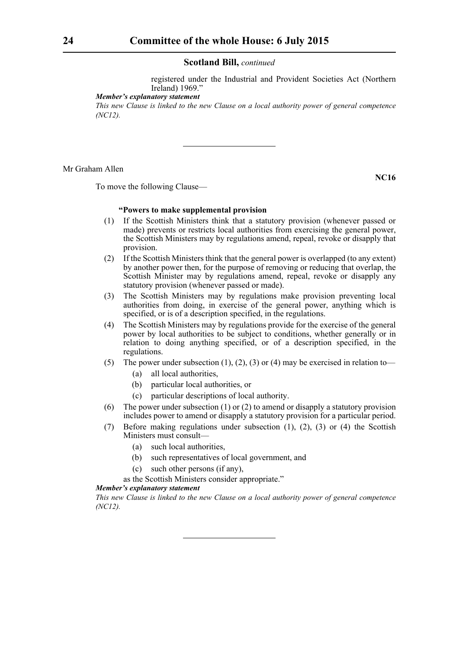registered under the Industrial and Provident Societies Act (Northern Ireland) 1969."

*Member's explanatory statement* 

*This new Clause is linked to the new Clause on a local authority power of general competence (NC12).*

#### Mr Graham Allen

To move the following Clause—

# **"Powers to make supplemental provision**

- (1) If the Scottish Ministers think that a statutory provision (whenever passed or made) prevents or restricts local authorities from exercising the general power, the Scottish Ministers may by regulations amend, repeal, revoke or disapply that provision.
- (2) If the Scottish Ministers think that the general power is overlapped (to any extent) by another power then, for the purpose of removing or reducing that overlap, the Scottish Minister may by regulations amend, repeal, revoke or disapply any statutory provision (whenever passed or made).
- (3) The Scottish Ministers may by regulations make provision preventing local authorities from doing, in exercise of the general power, anything which is specified, or is of a description specified, in the regulations.
- (4) The Scottish Ministers may by regulations provide for the exercise of the general power by local authorities to be subject to conditions, whether generally or in relation to doing anything specified, or of a description specified, in the regulations.
- (5) The power under subsection (1), (2), (3) or (4) may be exercised in relation to—
	- (a) all local authorities,
	- (b) particular local authorities, or
	- (c) particular descriptions of local authority.
- (6) The power under subsection (1) or (2) to amend or disapply a statutory provision includes power to amend or disapply a statutory provision for a particular period.
- (7) Before making regulations under subsection (1), (2), (3) or (4) the Scottish Ministers must consult—
	- (a) such local authorities,
	- (b) such representatives of local government, and
	- (c) such other persons (if any),

as the Scottish Ministers consider appropriate."

#### *Member's explanatory statement*

*This new Clause is linked to the new Clause on a local authority power of general competence (NC12).*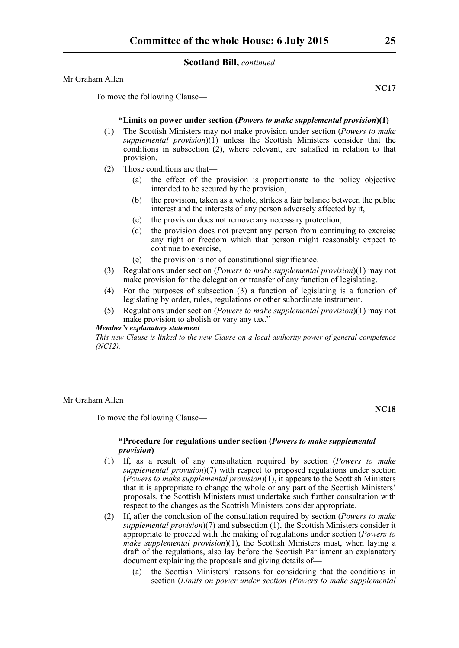Mr Graham Allen

**NC17**

To move the following Clause—

#### **"Limits on power under section (***Powers to make supplemental provision***)(1)**

- (1) The Scottish Ministers may not make provision under section (*Powers to make supplemental provision*)(1) unless the Scottish Ministers consider that the conditions in subsection (2), where relevant, are satisfied in relation to that provision.
- (2) Those conditions are that—
	- (a) the effect of the provision is proportionate to the policy objective intended to be secured by the provision,
	- (b) the provision, taken as a whole, strikes a fair balance between the public interest and the interests of any person adversely affected by it,
	- (c) the provision does not remove any necessary protection,
	- (d) the provision does not prevent any person from continuing to exercise any right or freedom which that person might reasonably expect to continue to exercise,
	- (e) the provision is not of constitutional significance.
- (3) Regulations under section (*Powers to make supplemental provision*)(1) may not make provision for the delegation or transfer of any function of legislating.
- (4) For the purposes of subsection (3) a function of legislating is a function of legislating by order, rules, regulations or other subordinate instrument.
- (5) Regulations under section (*Powers to make supplemental provision*)(1) may not make provision to abolish or vary any tax."

#### *Member's explanatory statement*

*This new Clause is linked to the new Clause on a local authority power of general competence (NC12).*

Mr Graham Allen

To move the following Clause—

**NC18**

# **"Procedure for regulations under section (***Powers to make supplemental provision***)**

- (1) If, as a result of any consultation required by section (*Powers to make supplemental provision*)(7) with respect to proposed regulations under section (*Powers to make supplemental provision*)(1), it appears to the Scottish Ministers that it is appropriate to change the whole or any part of the Scottish Ministers' proposals, the Scottish Ministers must undertake such further consultation with respect to the changes as the Scottish Ministers consider appropriate.
- (2) If, after the conclusion of the consultation required by section (*Powers to make supplemental provision*)(7) and subsection (1), the Scottish Ministers consider it appropriate to proceed with the making of regulations under section (*Powers to make supplemental provision*)(1), the Scottish Ministers must, when laying a draft of the regulations, also lay before the Scottish Parliament an explanatory document explaining the proposals and giving details of—
	- (a) the Scottish Ministers' reasons for considering that the conditions in section (*Limits on power under section (Powers to make supplemental*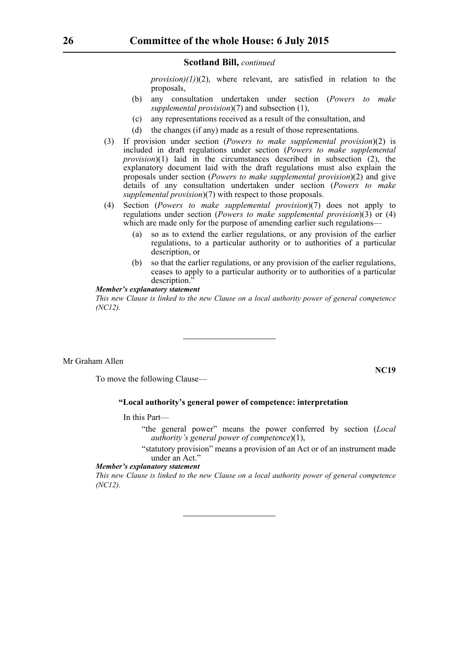*provision)(1)*)(2), where relevant, are satisfied in relation to the proposals,

- (b) any consultation undertaken under section (*Powers to make supplemental provision*)(7) and subsection (1),
- (c) any representations received as a result of the consultation, and
- (d) the changes (if any) made as a result of those representations.
- (3) If provision under section (*Powers to make supplemental provision*)(2) is included in draft regulations under section (*Powers to make supplemental provision*)(1) laid in the circumstances described in subsection (2), the explanatory document laid with the draft regulations must also explain the proposals under section (*Powers to make supplemental provision*)(2) and give details of any consultation undertaken under section (*Powers to make supplemental provision*)(7) with respect to those proposals.
- (4) Section (*Powers to make supplemental provision*)(7) does not apply to regulations under section (*Powers to make supplemental provision*)(3) or (4) which are made only for the purpose of amending earlier such regulations—
	- (a) so as to extend the earlier regulations, or any provision of the earlier regulations, to a particular authority or to authorities of a particular description, or
	- (b) so that the earlier regulations, or any provision of the earlier regulations, ceases to apply to a particular authority or to authorities of a particular description.

#### *Member's explanatory statement*

*This new Clause is linked to the new Clause on a local authority power of general competence (NC12).*

Mr Graham Allen

**NC19**

To move the following Clause—

#### **"Local authority's general power of competence: interpretation**

# In this Part—

- "the general power" means the power conferred by section (*Local authority's general power of competence*)(1),
- "statutory provision" means a provision of an Act or of an instrument made under an Act."

#### *Member's explanatory statement*

*This new Clause is linked to the new Clause on a local authority power of general competence (NC12).*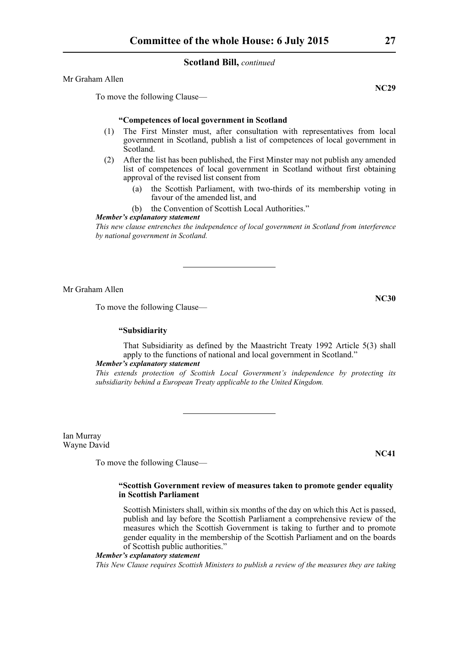Mr Graham Allen

To move the following Clause—

#### **"Competences of local government in Scotland**

- (1) The First Minster must, after consultation with representatives from local government in Scotland, publish a list of competences of local government in Scotland.
- (2) After the list has been published, the First Minster may not publish any amended list of competences of local government in Scotland without first obtaining approval of the revised list consent from
	- (a) the Scottish Parliament, with two-thirds of its membership voting in favour of the amended list, and
	- (b) the Convention of Scottish Local Authorities."

# *Member's explanatory statement*

*This new clause entrenches the independence of local government in Scotland from interference by national government in Scotland.*

Mr Graham Allen

To move the following Clause—

#### **"Subsidiarity**

That Subsidiarity as defined by the Maastricht Treaty 1992 Article 5(3) shall apply to the functions of national and local government in Scotland."

#### *Member's explanatory statement*

*This extends protection of Scottish Local Government's independence by protecting its subsidiarity behind a European Treaty applicable to the United Kingdom.*

Ian Murray Wayne David

To move the following Clause—

#### **"Scottish Government review of measures taken to promote gender equality in Scottish Parliament**

Scottish Ministers shall, within six months of the day on which this Act is passed, publish and lay before the Scottish Parliament a comprehensive review of the measures which the Scottish Government is taking to further and to promote gender equality in the membership of the Scottish Parliament and on the boards of Scottish public authorities."

#### *Member's explanatory statement*

*This New Clause requires Scottish Ministers to publish a review of the measures they are taking*

**NC29**

**NC41**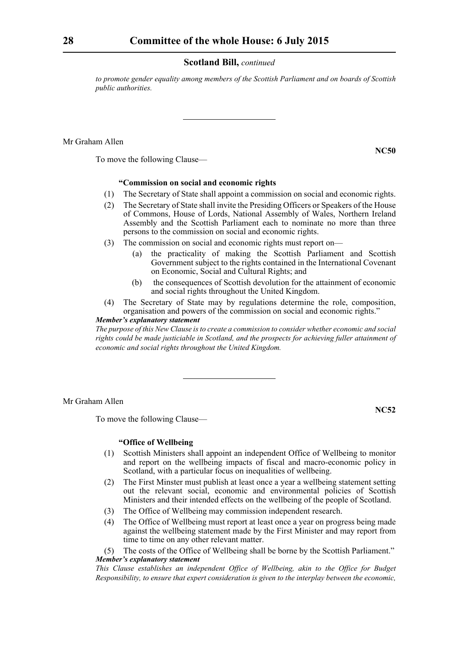*to promote gender equality among members of the Scottish Parliament and on boards of Scottish public authorities.*

Mr Graham Allen

To move the following Clause—

#### **"Commission on social and economic rights**

- (1) The Secretary of State shall appoint a commission on social and economic rights.
- (2) The Secretary of State shall invite the Presiding Officers or Speakers of the House of Commons, House of Lords, National Assembly of Wales, Northern Ireland Assembly and the Scottish Parliament each to nominate no more than three persons to the commission on social and economic rights.
- (3) The commission on social and economic rights must report on—
	- (a) the practicality of making the Scottish Parliament and Scottish Government subject to the rights contained in the International Covenant on Economic, Social and Cultural Rights; and
	- (b) the consequences of Scottish devolution for the attainment of economic and social rights throughout the United Kingdom.
- (4) The Secretary of State may by regulations determine the role, composition, organisation and powers of the commission on social and economic rights."

# *Member's explanatory statement*

*The purpose of this New Clause is to create a commission to consider whether economic and social rights could be made justiciable in Scotland, and the prospects for achieving fuller attainment of economic and social rights throughout the United Kingdom.* 

Mr Graham Allen

To move the following Clause—

**NC52**

#### **"Office of Wellbeing**

- (1) Scottish Ministers shall appoint an independent Office of Wellbeing to monitor and report on the wellbeing impacts of fiscal and macro-economic policy in Scotland, with a particular focus on inequalities of wellbeing.
- (2) The First Minster must publish at least once a year a wellbeing statement setting out the relevant social, economic and environmental policies of Scottish Ministers and their intended effects on the wellbeing of the people of Scotland.
- (3) The Office of Wellbeing may commission independent research.
- (4) The Office of Wellbeing must report at least once a year on progress being made against the wellbeing statement made by the First Minister and may report from time to time on any other relevant matter.

(5) The costs of the Office of Wellbeing shall be borne by the Scottish Parliament." *Member's explanatory statement* 

*This Clause establishes an independent Office of Wellbeing, akin to the Office for Budget Responsibility, to ensure that expert consideration is given to the interplay between the economic,*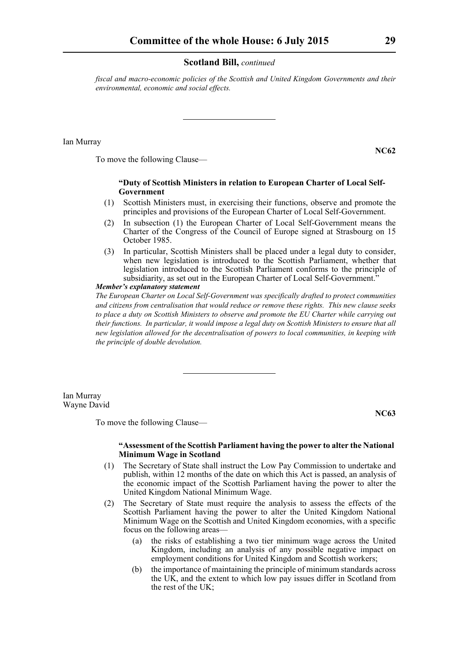*fiscal and macro-economic policies of the Scottish and United Kingdom Governments and their environmental, economic and social effects.*

Ian Murray

**NC62**

To move the following Clause—

#### **"Duty of Scottish Ministers in relation to European Charter of Local Self-Government**

- (1) Scottish Ministers must, in exercising their functions, observe and promote the principles and provisions of the European Charter of Local Self-Government.
- (2) In subsection (1) the European Charter of Local Self-Government means the Charter of the Congress of the Council of Europe signed at Strasbourg on 15 October 1985.
- (3) In particular, Scottish Ministers shall be placed under a legal duty to consider, when new legislation is introduced to the Scottish Parliament, whether that legislation introduced to the Scottish Parliament conforms to the principle of subsidiarity, as set out in the European Charter of Local Self-Government.<sup>7</sup>

*Member's explanatory statement* 

*The European Charter on Local Self-Government was specifically drafted to protect communities and citizens from centralisation that would reduce or remove these rights. This new clause seeks to place a duty on Scottish Ministers to observe and promote the EU Charter while carrying out their functions. In particular, it would impose a legal duty on Scottish Ministers to ensure that all new legislation allowed for the decentralisation of powers to local communities, in keeping with the principle of double devolution.*

Ian Murray Wayne David

**NC63**

To move the following Clause—

#### **"Assessment of the Scottish Parliament having the power to alter the National Minimum Wage in Scotland**

- (1) The Secretary of State shall instruct the Low Pay Commission to undertake and publish, within 12 months of the date on which this Act is passed, an analysis of the economic impact of the Scottish Parliament having the power to alter the United Kingdom National Minimum Wage.
- (2) The Secretary of State must require the analysis to assess the effects of the Scottish Parliament having the power to alter the United Kingdom National Minimum Wage on the Scottish and United Kingdom economies, with a specific focus on the following areas—
	- (a) the risks of establishing a two tier minimum wage across the United Kingdom, including an analysis of any possible negative impact on employment conditions for United Kingdom and Scottish workers;
	- (b) the importance of maintaining the principle of minimum standards across the UK, and the extent to which low pay issues differ in Scotland from the rest of the UK;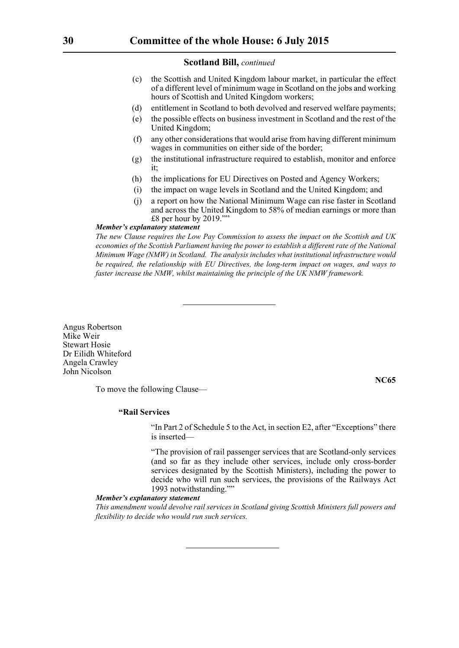- (c) the Scottish and United Kingdom labour market, in particular the effect of a different level of minimum wage in Scotland on the jobs and working hours of Scottish and United Kingdom workers;
- (d) entitlement in Scotland to both devolved and reserved welfare payments;
- (e) the possible effects on business investment in Scotland and the rest of the United Kingdom;
- (f) any other considerations that would arise from having different minimum wages in communities on either side of the border;
- (g) the institutional infrastructure required to establish, monitor and enforce it;
- (h) the implications for EU Directives on Posted and Agency Workers;
- (i) the impact on wage levels in Scotland and the United Kingdom; and
- (j) a report on how the National Minimum Wage can rise faster in Scotland and across the United Kingdom to 58% of median earnings or more than £8 per hour by 2019.""

#### *Member's explanatory statement*

*The new Clause requires the Low Pay Commission to assess the impact on the Scottish and UK economies of the Scottish Parliament having the power to establish a different rate of the National Minimum Wage (NMW) in Scotland. The analysis includes what institutional infrastructure would be required, the relationship with EU Directives, the long-term impact on wages, and ways to faster increase the NMW, whilst maintaining the principle of the UK NMW framework.*

Angus Robertson Mike Weir Stewart Hosie Dr Eilidh Whiteford Angela Crawley John Nicolson

To move the following Clause—

**NC65**

#### **"Rail Services**

"In Part 2 of Schedule 5 to the Act, in section E2, after "Exceptions" there is inserted—

"The provision of rail passenger services that are Scotland-only services (and so far as they include other services, include only cross-border services designated by the Scottish Ministers), including the power to decide who will run such services, the provisions of the Railways Act 1993 notwithstanding.""

# *Member's explanatory statement*

*This amendment would devolve rail services in Scotland giving Scottish Ministers full powers and flexibility to decide who would run such services.*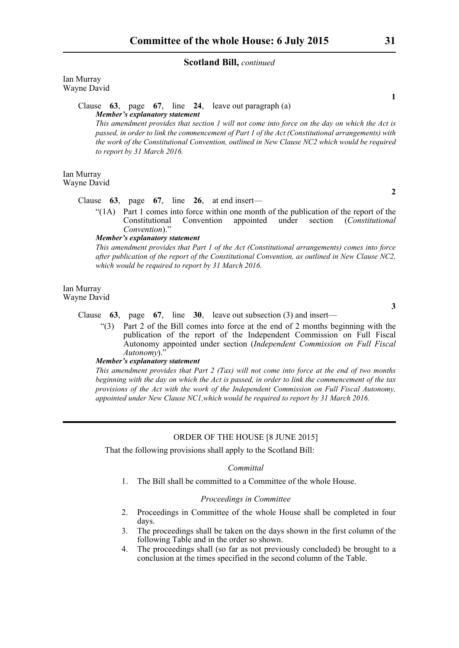Ian Murray Wayne David

> Clause **63**, page **67**, line **24**, leave out paragraph (a) *Member's explanatory statement*

*This amendment provides that section 1 will not come into force on the day on which the Act is passed, in order to link the commencement of Part 1 of the Act (Constitutional arrangements) with the work of the Constitutional Convention, outlined in New Clause NC2 which would be required to report by 31 March 2016.* 

Ian Murray Wayne David

#### Clause **63**, page **67**, line **26**, at end insert—

"(1A) Part 1 comes into force within one month of the publication of the report of the Constitutional Convention appointed under section (Constitutional Constitutional Convention appointed under section (*Constitutional* Convention)."

#### *Member's explanatory statement*

*This amendment provides that Part 1 of the Act (Constitutional arrangements) comes into force after publication of the report of the Constitutional Convention, as outlined in New Clause NC2, which would be required to report by 31 March 2016.* 

Ian Murray Wayne David

**3**

# Clause **63**, page **67**, line **30**, leave out subsection (3) and insert—

"(3) Part 2 of the Bill comes into force at the end of 2 months beginning with the publication of the report of the Independent Commission on Full Fiscal Autonomy appointed under section (*Independent Commission on Full Fiscal Autonomy*)."

#### *Member's explanatory statement*

*This amendment provides that Part 2 (Tax) will not come into force at the end of two months beginning with the day on which the Act is passed, in order to link the commencement of the tax provisions of the Act with the work of the Independent Commission on Full Fiscal Autonomy, appointed under New Clause NC1,which would be required to report by 31 March 2016.* 

# ORDER OF THE HOUSE [8 JUNE 2015]

That the following provisions shall apply to the Scotland Bill:

#### *Committal*

1. The Bill shall be committed to a Committee of the whole House.

# *Proceedings in Committee*

- 2. Proceedings in Committee of the whole House shall be completed in four days.
- 3. The proceedings shall be taken on the days shown in the first column of the following Table and in the order so shown.
- 4. The proceedings shall (so far as not previously concluded) be brought to a conclusion at the times specified in the second column of the Table.

**1**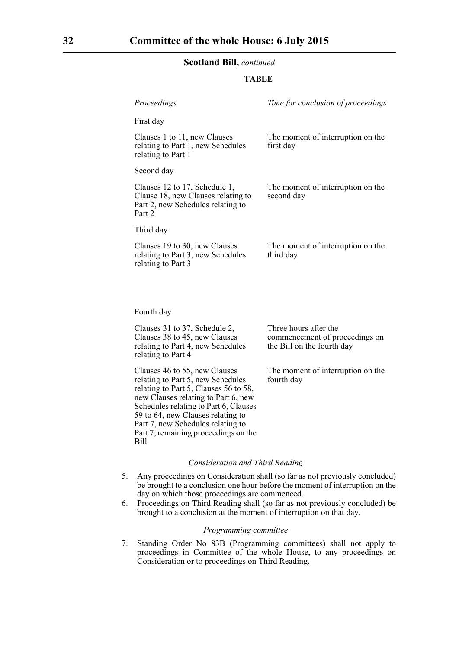#### **TABLE**

| Proceedings                                                                                                        | Time for conclusion of proceedings              |
|--------------------------------------------------------------------------------------------------------------------|-------------------------------------------------|
| First day                                                                                                          |                                                 |
| Clauses 1 to 11, new Clauses<br>relating to Part 1, new Schedules<br>relating to Part 1                            | The moment of interruption on the<br>first day  |
| Second day                                                                                                         |                                                 |
| Clauses 12 to 17, Schedule 1,<br>Clause 18, new Clauses relating to<br>Part 2, new Schedules relating to<br>Part 2 | The moment of interruption on the<br>second day |
| Third day                                                                                                          |                                                 |
| Clauses 19 to 30, new Clauses<br>relating to Part 3, new Schedules<br>relating to Part 3                           | The moment of interruption on the<br>third day  |
|                                                                                                                    |                                                 |
|                                                                                                                    |                                                 |

Fourth day

Clauses 31 to 37, Schedule 2, Clauses 38 to 45, new Clauses relating to Part 4, new Schedules relating to Part 4

Three hours after the commencement of proceedings on the Bill on the fourth day

The moment of interruption on the fourth day

Clauses 46 to 55, new Clauses relating to Part 5, new Schedules relating to Part 5, Clauses 56 to 58, new Clauses relating to Part 6, new Schedules relating to Part 6, Clauses 59 to 64, new Clauses relating to Part 7, new Schedules relating to Part 7, remaining proceedings on the Bill

#### *Consideration and Third Reading*

- 5. Any proceedings on Consideration shall (so far as not previously concluded) be brought to a conclusion one hour before the moment of interruption on the day on which those proceedings are commenced.
- 6. Proceedings on Third Reading shall (so far as not previously concluded) be brought to a conclusion at the moment of interruption on that day.

#### *Programming committee*

7. Standing Order No 83B (Programming committees) shall not apply to proceedings in Committee of the whole House, to any proceedings on Consideration or to proceedings on Third Reading.